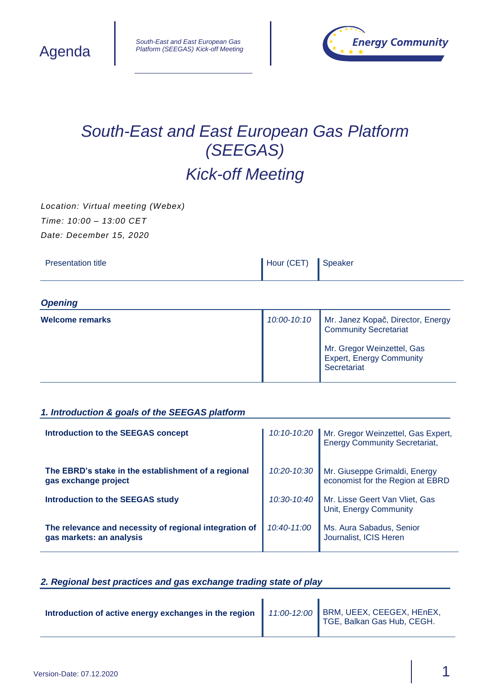



# *South-East and East European Gas Platform (SEEGAS) Kick-off Meeting*

*Location: Virtual meeting (Webex) Time: 10:00 – 13:00 CET Date: December 15, 2020*

| <b>Presentation title</b> | Hour (CET) | Speaker |
|---------------------------|------------|---------|
|---------------------------|------------|---------|

## *Opening*

| Welcome remarks | 10:00-10:10 | Mr. Janez Kopač, Director, Energy<br><b>Community Secretariat</b>            |
|-----------------|-------------|------------------------------------------------------------------------------|
|                 |             | Mr. Gregor Weinzettel, Gas<br><b>Expert, Energy Community</b><br>Secretariat |

### *1. Introduction & goals of the SEEGAS platform*

| <b>Introduction to the SEEGAS concept</b>                                          |             | 10:10-10:20 Mr. Gregor Weinzettel, Gas Expert,<br>Energy Community Secretariat, |
|------------------------------------------------------------------------------------|-------------|---------------------------------------------------------------------------------|
| The EBRD's stake in the establishment of a regional<br>gas exchange project        |             | 10:20-10:30 Mr. Giuseppe Grimaldi, Energy<br>economist for the Region at EBRD   |
| Introduction to the SEEGAS study                                                   |             | 10:30-10:40 Mr. Lisse Geert Van Vliet, Gas<br>Unit, Energy Community            |
| The relevance and necessity of regional integration of<br>gas markets: an analysis | 10:40-11:00 | Ms. Aura Sabadus, Senior<br>Journalist, ICIS Heren                              |

#### *2. Regional best practices and gas exchange trading state of play*

| Introduction of active energy exchanges in the region |  | 11:00-12:00 BRM, UEEX, CEEGEX, HEnEX,<br>TGE, Balkan Gas Hub, CEGH. |
|-------------------------------------------------------|--|---------------------------------------------------------------------|
|-------------------------------------------------------|--|---------------------------------------------------------------------|